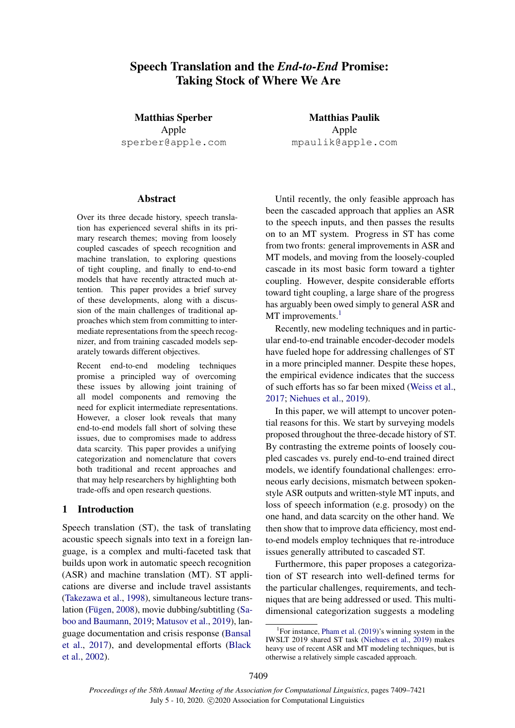# Speech Translation and the *End-to-End* Promise: Taking Stock of Where We Are

Matthias Sperber Apple sperber@apple.com

#### Abstract

Over its three decade history, speech translation has experienced several shifts in its primary research themes; moving from loosely coupled cascades of speech recognition and machine translation, to exploring questions of tight coupling, and finally to end-to-end models that have recently attracted much attention. This paper provides a brief survey of these developments, along with a discussion of the main challenges of traditional approaches which stem from committing to intermediate representations from the speech recognizer, and from training cascaded models separately towards different objectives.

Recent end-to-end modeling techniques promise a principled way of overcoming these issues by allowing joint training of all model components and removing the need for explicit intermediate representations. However, a closer look reveals that many end-to-end models fall short of solving these issues, due to compromises made to address data scarcity. This paper provides a unifying categorization and nomenclature that covers both traditional and recent approaches and that may help researchers by highlighting both trade-offs and open research questions.

### 1 Introduction

Speech translation (ST), the task of translating acoustic speech signals into text in a foreign language, is a complex and multi-faceted task that builds upon work in automatic speech recognition (ASR) and machine translation (MT). ST applications are diverse and include travel assistants [\(Takezawa et al.,](#page-12-0) [1998\)](#page-12-0), simultaneous lecture trans-lation (Fügen, [2008\)](#page-9-0), movie dubbing/subtitling [\(Sa](#page-11-0)[boo and Baumann,](#page-11-0) [2019;](#page-11-0) [Matusov et al.,](#page-11-1) [2019\)](#page-11-1), language documentation and crisis response [\(Bansal](#page-8-0) [et al.,](#page-8-0) [2017\)](#page-8-0), and developmental efforts [\(Black](#page-9-1) [et al.,](#page-9-1) [2002\)](#page-9-1).

Matthias Paulik Apple mpaulik@apple.com

Until recently, the only feasible approach has been the cascaded approach that applies an ASR to the speech inputs, and then passes the results on to an MT system. Progress in ST has come from two fronts: general improvements in ASR and MT models, and moving from the loosely-coupled cascade in its most basic form toward a tighter coupling. However, despite considerable efforts toward tight coupling, a large share of the progress has arguably been owed simply to general ASR and MT improvements.<sup>[1](#page-0-0)</sup>

Recently, new modeling techniques and in particular end-to-end trainable encoder-decoder models have fueled hope for addressing challenges of ST in a more principled manner. Despite these hopes, the empirical evidence indicates that the success of such efforts has so far been mixed [\(Weiss et al.,](#page-12-1) [2017;](#page-12-1) [Niehues et al.,](#page-11-2) [2019\)](#page-11-2).

In this paper, we will attempt to uncover potential reasons for this. We start by surveying models proposed throughout the three-decade history of ST. By contrasting the extreme points of loosely coupled cascades vs. purely end-to-end trained direct models, we identify foundational challenges: erroneous early decisions, mismatch between spokenstyle ASR outputs and written-style MT inputs, and loss of speech information (e.g. prosody) on the one hand, and data scarcity on the other hand. We then show that to improve data efficiency, most endto-end models employ techniques that re-introduce issues generally attributed to cascaded ST.

Furthermore, this paper proposes a categorization of ST research into well-defined terms for the particular challenges, requirements, and techniques that are being addressed or used. This multidimensional categorization suggests a modeling

<span id="page-0-0"></span><sup>&</sup>lt;sup>1</sup>For instance, [Pham et al.](#page-11-3) [\(2019\)](#page-11-3)'s winning system in the IWSLT 2019 shared ST task [\(Niehues et al.,](#page-11-2) [2019\)](#page-11-2) makes heavy use of recent ASR and MT modeling techniques, but is otherwise a relatively simple cascaded approach.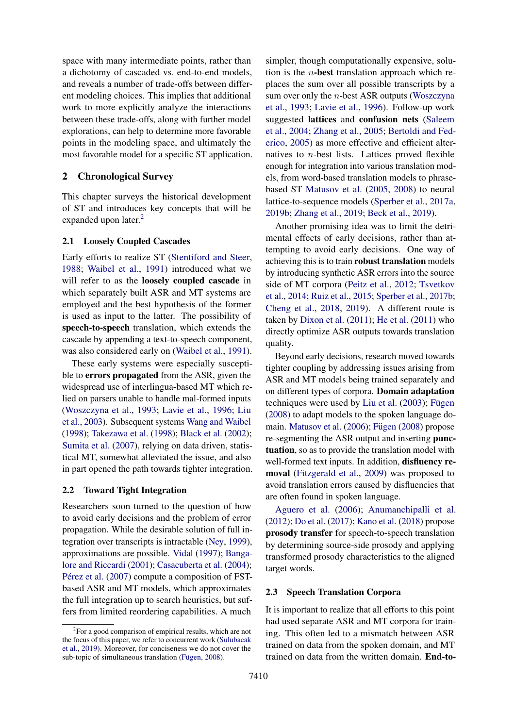space with many intermediate points, rather than a dichotomy of cascaded vs. end-to-end models, and reveals a number of trade-offs between different modeling choices. This implies that additional work to more explicitly analyze the interactions between these trade-offs, along with further model explorations, can help to determine more favorable points in the modeling space, and ultimately the most favorable model for a specific ST application.

### 2 Chronological Survey

This chapter surveys the historical development of ST and introduces key concepts that will be expanded upon later.<sup>[2](#page-1-0)</sup>

### <span id="page-1-2"></span>2.1 Loosely Coupled Cascades

Early efforts to realize ST [\(Stentiford and Steer,](#page-12-2) [1988;](#page-12-2) [Waibel et al.,](#page-12-3) [1991\)](#page-12-3) introduced what we will refer to as the loosely coupled cascade in which separately built ASR and MT systems are employed and the best hypothesis of the former is used as input to the latter. The possibility of speech-to-speech translation, which extends the cascade by appending a text-to-speech component, was also considered early on [\(Waibel et al.,](#page-12-3) [1991\)](#page-12-3).

These early systems were especially susceptible to errors propagated from the ASR, given the widespread use of interlingua-based MT which relied on parsers unable to handle mal-formed inputs [\(Woszczyna et al.,](#page-12-4) [1993;](#page-12-4) [Lavie et al.,](#page-10-0) [1996;](#page-10-0) [Liu](#page-10-1) [et al.,](#page-10-1) [2003\)](#page-10-1). Subsequent systems [Wang and Waibel](#page-12-5) [\(1998\)](#page-12-5); [Takezawa et al.](#page-12-0) [\(1998\)](#page-12-0); [Black et al.](#page-9-1) [\(2002\)](#page-9-1); [Sumita et al.](#page-12-6) [\(2007\)](#page-12-6), relying on data driven, statistical MT, somewhat alleviated the issue, and also in part opened the path towards tighter integration.

#### 2.2 Toward Tight Integration

Researchers soon turned to the question of how to avoid early decisions and the problem of error propagation. While the desirable solution of full integration over transcripts is intractable [\(Ney,](#page-11-4) [1999\)](#page-11-4), approximations are possible. [Vidal](#page-12-7) [\(1997\)](#page-12-7); [Banga](#page-8-1)[lore and Riccardi](#page-8-1) [\(2001\)](#page-8-1); [Casacuberta et al.](#page-9-2) [\(2004\)](#page-9-2); Pérez et al. [\(2007\)](#page-11-5) compute a composition of FSTbased ASR and MT models, which approximates the full integration up to search heuristics, but suffers from limited reordering capabilities. A much

simpler, though computationally expensive, solution is the *n*-best translation approach which replaces the sum over all possible transcripts by a sum over only the  $n$ -best ASR outputs [\(Woszczyna](#page-12-4) [et al.,](#page-12-4) [1993;](#page-12-4) [Lavie et al.,](#page-10-0) [1996\)](#page-10-0). Follow-up work suggested lattices and confusion nets [\(Saleem](#page-11-6) [et al.,](#page-11-6) [2004;](#page-11-6) [Zhang et al.,](#page-12-9) [2005;](#page-12-9) [Bertoldi and Fed](#page-9-3)[erico,](#page-9-3) [2005\)](#page-9-3) as more effective and efficient alternatives to  $n$ -best lists. Lattices proved flexible enough for integration into various translation models, from word-based translation models to phrasebased ST [Matusov et al.](#page-11-7) [\(2005,](#page-11-7) [2008\)](#page-10-2) to neural lattice-to-sequence models [\(Sperber et al.,](#page-11-8) [2017a,](#page-11-8) [2019b;](#page-12-10) [Zhang et al.,](#page-12-11) [2019;](#page-12-11) [Beck et al.,](#page-8-2) [2019\)](#page-8-2).

Another promising idea was to limit the detrimental effects of early decisions, rather than attempting to avoid early decisions. One way of achieving this is to train robust translation models by introducing synthetic ASR errors into the source side of MT corpora [\(Peitz et al.,](#page-11-9) [2012;](#page-11-9) [Tsvetkov](#page-12-12) [et al.,](#page-12-12) [2014;](#page-12-12) [Ruiz et al.,](#page-11-10) [2015;](#page-11-10) [Sperber et al.,](#page-12-13) [2017b;](#page-12-13) [Cheng et al.,](#page-9-4) [2018,](#page-9-4) [2019\)](#page-9-5). A different route is taken by [Dixon et al.](#page-9-6) [\(2011\)](#page-9-6); [He et al.](#page-10-3) [\(2011\)](#page-10-3) who directly optimize ASR outputs towards translation quality.

Beyond early decisions, research moved towards tighter coupling by addressing issues arising from ASR and MT models being trained separately and on different types of corpora. Domain adaptation techniques were used by [Liu et al.](#page-10-1)  $(2003)$ ; Fügen [\(2008\)](#page-9-0) to adapt models to the spoken language do-main. [Matusov et al.](#page-10-4)  $(2006)$ ; Fügen  $(2008)$  propose re-segmenting the ASR output and inserting punctuation, so as to provide the translation model with well-formed text inputs. In addition, **disfluency re**moval [\(Fitzgerald et al.,](#page-9-7) [2009\)](#page-9-7) was proposed to avoid translation errors caused by disfluencies that are often found in spoken language.

[Aguero et al.](#page-8-3) [\(2006\)](#page-8-3); [Anumanchipalli et al.](#page-8-4) [\(2012\)](#page-8-4); [Do et al.](#page-9-8) [\(2017\)](#page-9-8); [Kano et al.](#page-10-5) [\(2018\)](#page-10-5) propose prosody transfer for speech-to-speech translation by determining source-side prosody and applying transformed prosody characteristics to the aligned target words.

#### <span id="page-1-1"></span>2.3 Speech Translation Corpora

It is important to realize that all efforts to this point had used separate ASR and MT corpora for training. This often led to a mismatch between ASR trained on data from the spoken domain, and MT trained on data from the written domain. End-to-

<span id="page-1-0"></span><sup>&</sup>lt;sup>2</sup> For a good comparison of empirical results, which are not the focus of this paper, we refer to concurrent work [\(Sulubacak](#page-12-8) [et al.,](#page-12-8) [2019\)](#page-12-8). Moreover, for conciseness we do not cover the sub-topic of simultaneous translation (Fügen, [2008\)](#page-9-0).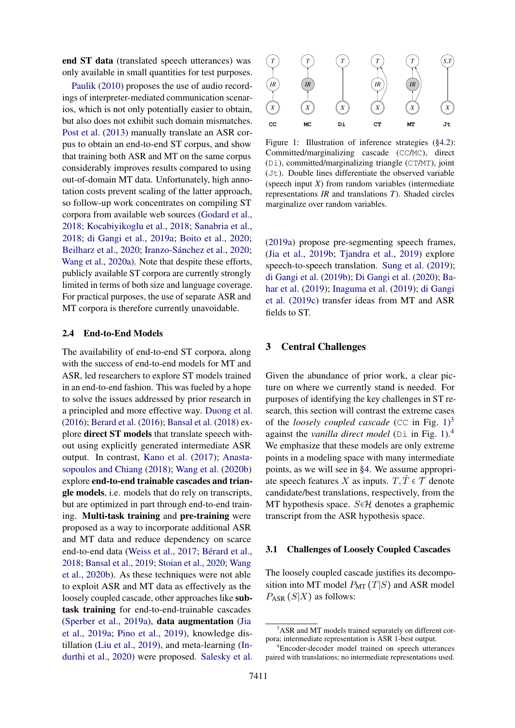end ST data (translated speech utterances) was only available in small quantities for test purposes.

[Paulik](#page-11-11) [\(2010\)](#page-11-11) proposes the use of audio recordings of interpreter-mediated communication scenarios, which is not only potentially easier to obtain, but also does not exhibit such domain mismatches. [Post et al.](#page-11-12) [\(2013\)](#page-11-12) manually translate an ASR corpus to obtain an end-to-end ST corpus, and show that training both ASR and MT on the same corpus considerably improves results compared to using out-of-domain MT data. Unfortunately, high annotation costs prevent scaling of the latter approach, so follow-up work concentrates on compiling ST corpora from available web sources [\(Godard et al.,](#page-9-9) [2018;](#page-9-9) [Kocabiyikoglu et al.,](#page-10-6) [2018;](#page-10-6) [Sanabria et al.,](#page-11-13) [2018;](#page-11-13) [di Gangi et al.,](#page-9-10) [2019a;](#page-9-10) [Boito et al.,](#page-9-11) [2020;](#page-9-11) [Beilharz et al.,](#page-8-5) [2020;](#page-10-7) Iranzo-Sánchez et al., 2020; [Wang et al.,](#page-12-14) [2020a\)](#page-12-14). Note that despite these efforts, publicly available ST corpora are currently strongly limited in terms of both size and language coverage. For practical purposes, the use of separate ASR and MT corpora is therefore currently unavoidable.

#### 2.4 End-to-End Models

The availability of end-to-end ST corpora, along with the success of end-to-end models for MT and ASR, led researchers to explore ST models trained in an end-to-end fashion. This was fueled by a hope to solve the issues addressed by prior research in a principled and more effective way. [Duong et al.](#page-9-12) [\(2016\)](#page-9-12); [Berard et al.](#page-9-13) [\(2016\)](#page-9-13); [Bansal et al.](#page-8-6) [\(2018\)](#page-8-6) explore direct ST models that translate speech without using explicitly generated intermediate ASR output. In contrast, [Kano et al.](#page-10-8) [\(2017\)](#page-10-8); [Anasta](#page-8-7)[sopoulos and Chiang](#page-8-7) [\(2018\)](#page-8-7); [Wang et al.](#page-12-15) [\(2020b\)](#page-12-15) explore end-to-end trainable cascades and triangle models, i.e. models that do rely on transcripts, but are optimized in part through end-to-end training. Multi-task training and pre-training were proposed as a way to incorporate additional ASR and MT data and reduce dependency on scarce end-to-end data [\(Weiss et al.,](#page-12-1) [2017;](#page-12-1) Bérard et al., [2018;](#page-8-8) [Bansal et al.,](#page-8-9) [2019;](#page-8-9) [Stoian et al.,](#page-12-16) [2020;](#page-12-16) [Wang](#page-12-15) [et al.,](#page-12-15) [2020b\)](#page-12-15). As these techniques were not able to exploit ASR and MT data as effectively as the loosely coupled cascade, other approaches like subtask training for end-to-end-trainable cascades [\(Sperber et al.,](#page-12-17) [2019a\)](#page-12-17), data augmentation [\(Jia](#page-10-9) [et al.,](#page-10-9) [2019a;](#page-10-9) [Pino et al.,](#page-11-14) [2019\)](#page-11-14), knowledge distillation [\(Liu et al.,](#page-10-10) [2019\)](#page-10-10), and meta-learning [\(In](#page-10-11)[durthi et al.,](#page-10-11) [2020\)](#page-10-11) were proposed. [Salesky et al.](#page-11-15)

<span id="page-2-0"></span>

Figure 1: Illustration of inference strategies ([§4.2\)](#page-5-0): Committed/marginalizing cascade (CC/MC), direct (Di), committed/marginalizing triangle (CT/MT), joint (Jt). Double lines differentiate the observed variable (speech input *X*) from random variables (intermediate representations *IR* and translations *T*). Shaded circles marginalize over random variables.

[\(2019a\)](#page-11-15) propose pre-segmenting speech frames, [\(Jia et al.,](#page-10-12) [2019b;](#page-10-12) [Tjandra et al.,](#page-12-18) [2019\)](#page-12-18) explore speech-to-speech translation. [Sung et al.](#page-12-19) [\(2019\)](#page-12-19); [di Gangi et al.](#page-9-14) [\(2019b\)](#page-9-14); [Di Gangi et al.](#page-9-15) [\(2020\)](#page-9-15); [Ba](#page-8-10)[har et al.](#page-8-10) [\(2019\)](#page-8-10); [Inaguma et al.](#page-10-13) [\(2019\)](#page-10-13); [di Gangi](#page-9-16) [et al.](#page-9-16) [\(2019c\)](#page-9-16) transfer ideas from MT and ASR fields to ST.

### <span id="page-2-4"></span>3 Central Challenges

Given the abundance of prior work, a clear picture on where we currently stand is needed. For purposes of identifying the key challenges in ST research, this section will contrast the extreme cases of the *loosely coupled cascade* (CC in Fig. [1\)](#page-2-0)<sup>[3](#page-2-1)</sup> against the *vanilla direct model* (Di in Fig. [1\)](#page-2-0).[4](#page-2-2) We emphasize that these models are only extreme points in a modeling space with many intermediate points, as we will see in [§4.](#page-4-0) We assume appropriate speech features X as inputs.  $T, \tilde{T} \in \mathcal{T}$  denote candidate/best translations, respectively, from the MT hypothesis space.  $S \in \mathcal{H}$  denotes a graphemic transcript from the ASR hypothesis space.

#### <span id="page-2-3"></span>3.1 Challenges of Loosely Coupled Cascades

The loosely coupled cascade justifies its decomposition into MT model  $P_{\text{MT}}(T|S)$  and ASR model  $P_{ASR}$  (S|X) as follows:

<span id="page-2-1"></span><sup>&</sup>lt;sup>3</sup>ASR and MT models trained separately on different corpora; intermediate representation is ASR 1-best output.

<span id="page-2-2"></span><sup>4</sup>Encoder-decoder model trained on speech utterances paired with translations; no intermediate representations used.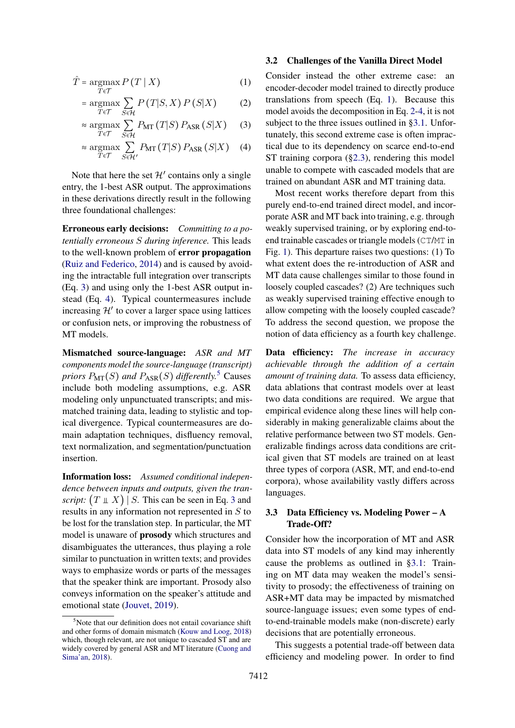$$
\hat{T} = \underset{T \in \mathcal{T}}{\operatorname{argmax}} P(T \mid X) \tag{1}
$$

$$
= \underset{T \in \mathcal{T}}{\operatorname{argmax}} \sum_{S \in \mathcal{H}} P(T|S, X) P(S|X) \tag{2}
$$

$$
\approx \underset{T \in \mathcal{T}}{\operatorname{argmax}} \sum_{S \in \mathcal{H}} P_{\text{MT}}(T|S) P_{\text{ASR}}(S|X) \tag{3}
$$

$$
\approx \underset{T \in \mathcal{T}}{\text{argmax}} \sum_{S \in \mathcal{H}'} P_{\text{MT}}(T|S) P_{\text{ASR}}(S|X) \quad (4)
$$

Note that here the set  $\mathcal{H}'$  contains only a single entry, the 1-best ASR output. The approximations in these derivations directly result in the following three foundational challenges:

Erroneous early decisions: *Committing to a potentially erroneous* S *during inference.* This leads to the well-known problem of error propagation [\(Ruiz and Federico,](#page-11-16) [2014\)](#page-11-16) and is caused by avoiding the intractable full integration over transcripts (Eq. [3\)](#page-3-0) and using only the 1-best ASR output instead (Eq. [4\)](#page-3-1). Typical countermeasures include increasing  $\mathcal{H}'$  to cover a larger space using lattices or confusion nets, or improving the robustness of MT models.

Mismatched source-language: *ASR and MT components model the source-language (transcript) priors*  $P_{\text{MT}}(S)$  *and*  $P_{\text{ASR}}(S)$  *differently.*<sup>[5](#page-3-2)</sup> Causes include both modeling assumptions, e.g. ASR modeling only unpunctuated transcripts; and mismatched training data, leading to stylistic and topical divergence. Typical countermeasures are domain adaptation techniques, disfluency removal, text normalization, and segmentation/punctuation insertion.

Information loss: *Assumed conditional independence between inputs and outputs, given the transcript:*  $(T \perp X)$  *S.* This can be seen in Eq. [3](#page-3-0) and results in any information not represented in S to be lost for the translation step. In particular, the MT model is unaware of prosody which structures and disambiguates the utterances, thus playing a role similar to punctuation in written texts; and provides ways to emphasize words or parts of the messages that the speaker think are important. Prosody also conveys information on the speaker's attitude and emotional state [\(Jouvet,](#page-10-14) [2019\)](#page-10-14).

#### 3.2 Challenges of the Vanilla Direct Model

<span id="page-3-4"></span><span id="page-3-3"></span><span id="page-3-0"></span>Consider instead the other extreme case: an encoder-decoder model trained to directly produce translations from speech (Eq. [1\)](#page-3-3). Because this model avoids the decomposition in Eq. [2-](#page-3-4)[4,](#page-3-1) it is not subject to the three issues outlined in [§3.1.](#page-2-3) Unfortunately, this second extreme case is often impractical due to its dependency on scarce end-to-end ST training corpora ([§2.3\)](#page-1-1), rendering this model unable to compete with cascaded models that are trained on abundant ASR and MT training data.

<span id="page-3-1"></span>Most recent works therefore depart from this purely end-to-end trained direct model, and incorporate ASR and MT back into training, e.g. through weakly supervised training, or by exploring end-toend trainable cascades or triangle models (CT/MT in Fig. [1\)](#page-2-0). This departure raises two questions: (1) To what extent does the re-introduction of ASR and MT data cause challenges similar to those found in loosely coupled cascades? (2) Are techniques such as weakly supervised training effective enough to allow competing with the loosely coupled cascade? To address the second question, we propose the notion of data efficiency as a fourth key challenge.

Data efficiency: *The increase in accuracy achievable through the addition of a certain amount of training data.* To assess data efficiency, data ablations that contrast models over at least two data conditions are required. We argue that empirical evidence along these lines will help considerably in making generalizable claims about the relative performance between two ST models. Generalizable findings across data conditions are critical given that ST models are trained on at least three types of corpora (ASR, MT, and end-to-end corpora), whose availability vastly differs across languages.

### 3.3 Data Efficiency vs. Modeling Power – A Trade-Off?

Consider how the incorporation of MT and ASR data into ST models of any kind may inherently cause the problems as outlined in [§3.1:](#page-2-3) Training on MT data may weaken the model's sensitivity to prosody; the effectiveness of training on ASR+MT data may be impacted by mismatched source-language issues; even some types of endto-end-trainable models make (non-discrete) early decisions that are potentially erroneous.

This suggests a potential trade-off between data efficiency and modeling power. In order to find

<span id="page-3-2"></span> $5$ Note that our definition does not entail covariance shift and other forms of domain mismatch [\(Kouw and Loog,](#page-10-15) [2018\)](#page-10-15) which, though relevant, are not unique to cascaded ST and are widely covered by general ASR and MT literature [\(Cuong and](#page-9-17) [Sima'an,](#page-9-17) [2018\)](#page-9-17).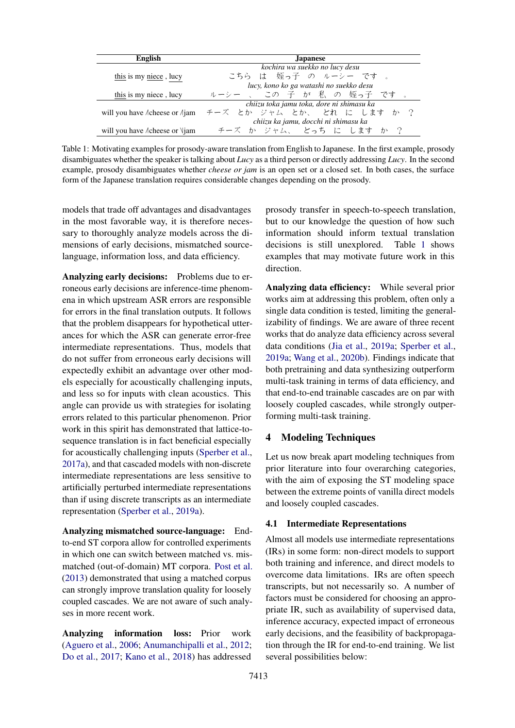<span id="page-4-1"></span>

| <b>English</b>                                | <b>Japanese</b>                           |
|-----------------------------------------------|-------------------------------------------|
|                                               | kochira wa suekko no lucy desu            |
| this is my niece, lucy                        | こちら は 姪っ子 の ルーシー です 。                     |
|                                               | lucy, kono ko ga watashi no suekko desu   |
| this is my niece, lucy                        | ルーシー 、 この 子 が 私 の 姪っ子 です                  |
|                                               | chiizu toka jamu toka, dore ni shimasu ka |
| will you have <i>A</i> cheese or <i>A</i> jam | チーズ とか ジャム とか、 どれ に します か ?               |
|                                               | chiizu ka jamu, docchi ni shimasu ka      |
| will you have / cheese or \lam                | チーズ か ジャム、 どっち に します か ?                  |

Table 1: Motivating examples for prosody-aware translation from English to Japanese. In the first example, prosody disambiguates whether the speaker is talking about *Lucy* as a third person or directly addressing *Lucy*. In the second example, prosody disambiguates whether *cheese or jam* is an open set or a closed set. In both cases, the surface form of the Japanese translation requires considerable changes depending on the prosody.

models that trade off advantages and disadvantages in the most favorable way, it is therefore necessary to thoroughly analyze models across the dimensions of early decisions, mismatched sourcelanguage, information loss, and data efficiency.

Analyzing early decisions: Problems due to erroneous early decisions are inference-time phenomena in which upstream ASR errors are responsible for errors in the final translation outputs. It follows that the problem disappears for hypothetical utterances for which the ASR can generate error-free intermediate representations. Thus, models that do not suffer from erroneous early decisions will expectedly exhibit an advantage over other models especially for acoustically challenging inputs, and less so for inputs with clean acoustics. This angle can provide us with strategies for isolating errors related to this particular phenomenon. Prior work in this spirit has demonstrated that lattice-tosequence translation is in fact beneficial especially for acoustically challenging inputs [\(Sperber et al.,](#page-11-8) [2017a\)](#page-11-8), and that cascaded models with non-discrete intermediate representations are less sensitive to artificially perturbed intermediate representations than if using discrete transcripts as an intermediate representation [\(Sperber et al.,](#page-12-17) [2019a\)](#page-12-17).

Analyzing mismatched source-language: Endto-end ST corpora allow for controlled experiments in which one can switch between matched vs. mismatched (out-of-domain) MT corpora. [Post et al.](#page-11-12) [\(2013\)](#page-11-12) demonstrated that using a matched corpus can strongly improve translation quality for loosely coupled cascades. We are not aware of such analyses in more recent work.

Analyzing information loss: Prior work [\(Aguero et al.,](#page-8-3) [2006;](#page-8-3) [Anumanchipalli et al.,](#page-8-4) [2012;](#page-8-4) [Do et al.,](#page-9-8) [2017;](#page-9-8) [Kano et al.,](#page-10-5) [2018\)](#page-10-5) has addressed prosody transfer in speech-to-speech translation, but to our knowledge the question of how such information should inform textual translation decisions is still unexplored. Table [1](#page-4-1) shows examples that may motivate future work in this direction.

Analyzing data efficiency: While several prior works aim at addressing this problem, often only a single data condition is tested, limiting the generalizability of findings. We are aware of three recent works that do analyze data efficiency across several data conditions [\(Jia et al.,](#page-10-9) [2019a;](#page-10-9) [Sperber et al.,](#page-12-17) [2019a;](#page-12-17) [Wang et al.,](#page-12-15) [2020b\)](#page-12-15). Findings indicate that both pretraining and data synthesizing outperform multi-task training in terms of data efficiency, and that end-to-end trainable cascades are on par with loosely coupled cascades, while strongly outperforming multi-task training.

# <span id="page-4-0"></span>4 Modeling Techniques

Let us now break apart modeling techniques from prior literature into four overarching categories, with the aim of exposing the ST modeling space between the extreme points of vanilla direct models and loosely coupled cascades.

### 4.1 Intermediate Representations

Almost all models use intermediate representations (IRs) in some form: non-direct models to support both training and inference, and direct models to overcome data limitations. IRs are often speech transcripts, but not necessarily so. A number of factors must be considered for choosing an appropriate IR, such as availability of supervised data, inference accuracy, expected impact of erroneous early decisions, and the feasibility of backpropagation through the IR for end-to-end training. We list several possibilities below: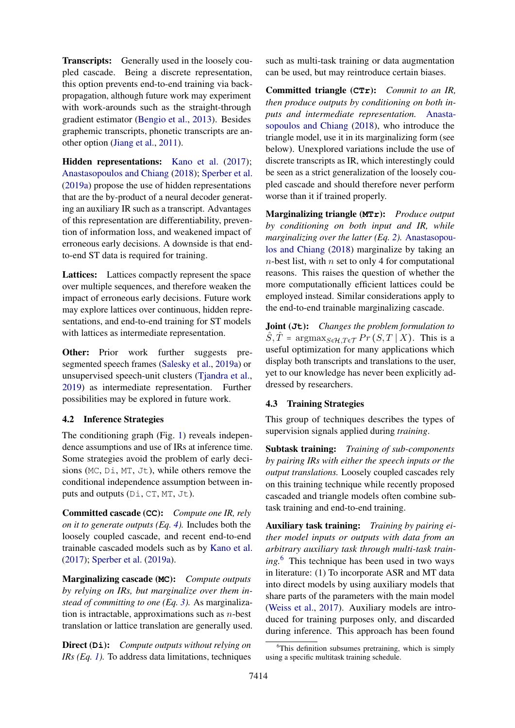Transcripts: Generally used in the loosely coupled cascade. Being a discrete representation, this option prevents end-to-end training via backpropagation, although future work may experiment with work-arounds such as the straight-through gradient estimator [\(Bengio et al.,](#page-8-11) [2013\)](#page-8-11). Besides graphemic transcripts, phonetic transcripts are another option [\(Jiang et al.,](#page-10-16) [2011\)](#page-10-16).

Hidden representations: [Kano et al.](#page-10-8) [\(2017\)](#page-10-8); [Anastasopoulos and Chiang](#page-8-7) [\(2018\)](#page-8-7); [Sperber et al.](#page-12-17) [\(2019a\)](#page-12-17) propose the use of hidden representations that are the by-product of a neural decoder generating an auxiliary IR such as a transcript. Advantages of this representation are differentiability, prevention of information loss, and weakened impact of erroneous early decisions. A downside is that endto-end ST data is required for training.

Lattices: Lattices compactly represent the space over multiple sequences, and therefore weaken the impact of erroneous early decisions. Future work may explore lattices over continuous, hidden representations, and end-to-end training for ST models with lattices as intermediate representation.

Other: Prior work further suggests presegmented speech frames [\(Salesky et al.,](#page-11-15) [2019a\)](#page-11-15) or unsupervised speech-unit clusters [\(Tjandra et al.,](#page-12-18) [2019\)](#page-12-18) as intermediate representation. Further possibilities may be explored in future work.

# <span id="page-5-0"></span>4.2 Inference Strategies

The conditioning graph (Fig. [1\)](#page-2-0) reveals independence assumptions and use of IRs at inference time. Some strategies avoid the problem of early decisions (MC, Di, MT, Jt), while others remove the conditional independence assumption between inputs and outputs (Di, CT, MT, Jt).

Committed cascade (**CC**): *Compute one IR, rely on it to generate outputs (Eq. [4\)](#page-3-1).* Includes both the loosely coupled cascade, and recent end-to-end trainable cascaded models such as by [Kano et al.](#page-10-8) [\(2017\)](#page-10-8); [Sperber et al.](#page-12-17) [\(2019a\)](#page-12-17).

Marginalizing cascade (**MC**): *Compute outputs by relying on IRs, but marginalize over them instead of committing to one (Eq. [3\)](#page-3-0).* As marginalization is intractable, approximations such as  $n$ -best translation or lattice translation are generally used.

Direct (**Di**): *Compute outputs without relying on IRs (Eq. [1\)](#page-3-3).* To address data limitations, techniques

such as multi-task training or data augmentation can be used, but may reintroduce certain biases.

Committed triangle (**CTr**): *Commit to an IR, then produce outputs by conditioning on both inputs and intermediate representation.* [Anasta](#page-8-7)[sopoulos and Chiang](#page-8-7) [\(2018\)](#page-8-7), who introduce the triangle model, use it in its marginalizing form (see below). Unexplored variations include the use of discrete transcripts as IR, which interestingly could be seen as a strict generalization of the loosely coupled cascade and should therefore never perform worse than it if trained properly.

Marginalizing triangle (**MTr**): *Produce output by conditioning on both input and IR, while marginalizing over the latter (Eq. [2\)](#page-3-4).* [Anastasopou](#page-8-7)[los and Chiang](#page-8-7) [\(2018\)](#page-8-7) marginalize by taking an  $n$ -best list, with  $n$  set to only 4 for computational reasons. This raises the question of whether the more computationally efficient lattices could be employed instead. Similar considerations apply to the end-to-end trainable marginalizing cascade.

Joint (**Jt**): *Changes the problem formulation to*  $\hat{S}, \hat{T}$  = argmax $S_{\epsilon H, T\epsilon T} Pr(S, T | X)$ . This is a useful optimization for many applications which display both transcripts and translations to the user, yet to our knowledge has never been explicitly addressed by researchers.

# <span id="page-5-2"></span>4.3 Training Strategies

This group of techniques describes the types of supervision signals applied during *training*.

Subtask training: *Training of sub-components by pairing IRs with either the speech inputs or the output translations.* Loosely coupled cascades rely on this training technique while recently proposed cascaded and triangle models often combine subtask training and end-to-end training.

Auxiliary task training: *Training by pairing either model inputs or outputs with data from an arbitrary auxiliary task through multi-task training.*[6](#page-5-1) This technique has been used in two ways in literature: (1) To incorporate ASR and MT data into direct models by using auxiliary models that share parts of the parameters with the main model [\(Weiss et al.,](#page-12-1) [2017\)](#page-12-1). Auxiliary models are introduced for training purposes only, and discarded during inference. This approach has been found

<span id="page-5-1"></span> ${}^{6}$ This definition subsumes pretraining, which is simply using a specific multitask training schedule.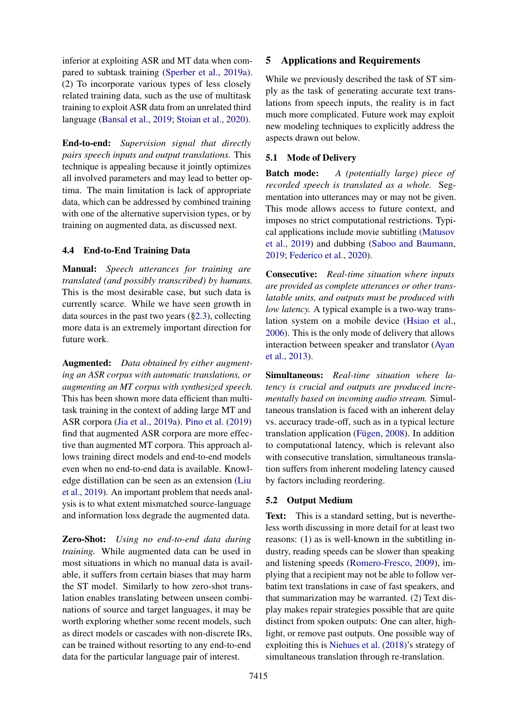inferior at exploiting ASR and MT data when compared to subtask training [\(Sperber et al.,](#page-12-17) [2019a\)](#page-12-17). (2) To incorporate various types of less closely related training data, such as the use of multitask training to exploit ASR data from an unrelated third language [\(Bansal et al.,](#page-8-9) [2019;](#page-8-9) [Stoian et al.,](#page-12-16) [2020\)](#page-12-16).

End-to-end: *Supervision signal that directly pairs speech inputs and output translations.* This technique is appealing because it jointly optimizes all involved parameters and may lead to better optima. The main limitation is lack of appropriate data, which can be addressed by combined training with one of the alternative supervision types, or by training on augmented data, as discussed next.

#### 4.4 End-to-End Training Data

Manual: *Speech utterances for training are translated (and possibly transcribed) by humans.* This is the most desirable case, but such data is currently scarce. While we have seen growth in data sources in the past two years ([§2.3\)](#page-1-1), collecting more data is an extremely important direction for future work.

Augmented: *Data obtained by either augmenting an ASR corpus with automatic translations, or augmenting an MT corpus with synthesized speech.* This has been shown more data efficient than multitask training in the context of adding large MT and ASR corpora [\(Jia et al.,](#page-10-9) [2019a\)](#page-10-9). [Pino et al.](#page-11-14) [\(2019\)](#page-11-14) find that augmented ASR corpora are more effective than augmented MT corpora. This approach allows training direct models and end-to-end models even when no end-to-end data is available. Knowledge distillation can be seen as an extension [\(Liu](#page-10-10) [et al.,](#page-10-10) [2019\)](#page-10-10). An important problem that needs analysis is to what extent mismatched source-language and information loss degrade the augmented data.

Zero-Shot: *Using no end-to-end data during training.* While augmented data can be used in most situations in which no manual data is available, it suffers from certain biases that may harm the ST model. Similarly to how zero-shot translation enables translating between unseen combinations of source and target languages, it may be worth exploring whether some recent models, such as direct models or cascades with non-discrete IRs, can be trained without resorting to any end-to-end data for the particular language pair of interest.

### <span id="page-6-0"></span>5 Applications and Requirements

While we previously described the task of ST simply as the task of generating accurate text translations from speech inputs, the reality is in fact much more complicated. Future work may exploit new modeling techniques to explicitly address the aspects drawn out below.

### 5.1 Mode of Delivery

Batch mode: *A (potentially large) piece of recorded speech is translated as a whole.* Segmentation into utterances may or may not be given. This mode allows access to future context, and imposes no strict computational restrictions. Typical applications include movie subtitling [\(Matusov](#page-11-1) [et al.,](#page-11-1) [2019\)](#page-11-1) and dubbing [\(Saboo and Baumann,](#page-11-0) [2019;](#page-11-0) [Federico et al.,](#page-9-18) [2020\)](#page-9-18).

Consecutive: *Real-time situation where inputs are provided as complete utterances or other translatable units, and outputs must be produced with low latency.* A typical example is a two-way translation system on a mobile device [\(Hsiao et al.,](#page-10-17) [2006\)](#page-10-17). This is the only mode of delivery that allows interaction between speaker and translator [\(Ayan](#page-8-12) [et al.,](#page-8-12) [2013\)](#page-8-12).

Simultaneous: *Real-time situation where latency is crucial and outputs are produced incrementally based on incoming audio stream.* Simultaneous translation is faced with an inherent delay vs. accuracy trade-off, such as in a typical lecture translation application (Fügen,  $2008$ ). In addition to computational latency, which is relevant also with consecutive translation, simultaneous translation suffers from inherent modeling latency caused by factors including reordering.

### 5.2 Output Medium

Text: This is a standard setting, but is nevertheless worth discussing in more detail for at least two reasons: (1) as is well-known in the subtitling industry, reading speeds can be slower than speaking and listening speeds [\(Romero-Fresco,](#page-11-17) [2009\)](#page-11-17), implying that a recipient may not be able to follow verbatim text translations in case of fast speakers, and that summarization may be warranted. (2) Text display makes repair strategies possible that are quite distinct from spoken outputs: One can alter, highlight, or remove past outputs. One possible way of exploiting this is [Niehues et al.](#page-11-18) [\(2018\)](#page-11-18)'s strategy of simultaneous translation through re-translation.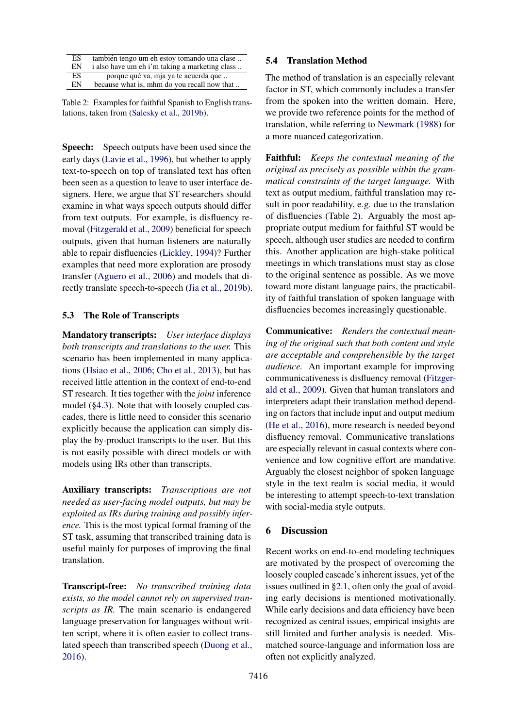<span id="page-7-0"></span>

| ES | también tengo um eh estoy tomando una clase    |
|----|------------------------------------------------|
| EN | i also have um eh i'm taking a marketing class |
| ES | porque qué va, mja ya te acuerda que           |
| EN | because what is, mhm do you recall now that    |

Table 2: Examples for faithful Spanish to English translations, taken from [\(Salesky et al.,](#page-11-19) [2019b\)](#page-11-19).

Speech: Speech outputs have been used since the early days [\(Lavie et al.,](#page-10-0) [1996\)](#page-10-0), but whether to apply text-to-speech on top of translated text has often been seen as a question to leave to user interface designers. Here, we argue that ST researchers should examine in what ways speech outputs should differ from text outputs. For example, is disfluency removal [\(Fitzgerald et al.,](#page-9-7) [2009\)](#page-9-7) beneficial for speech outputs, given that human listeners are naturally able to repair disfluencies [\(Lickley,](#page-10-18) [1994\)](#page-10-18)? Further examples that need more exploration are prosody transfer [\(Aguero et al.,](#page-8-3) [2006\)](#page-8-3) and models that directly translate speech-to-speech [\(Jia et al.,](#page-10-12) [2019b\)](#page-10-12).

### 5.3 The Role of Transcripts

Mandatory transcripts: *User interface displays both transcripts and translations to the user.* This scenario has been implemented in many applications [\(Hsiao et al.,](#page-10-17) [2006;](#page-10-17) [Cho et al.,](#page-9-19) [2013\)](#page-9-19), but has received little attention in the context of end-to-end ST research. It ties together with the *joint* inference model ([§4.3\)](#page-5-2). Note that with loosely coupled cascades, there is little need to consider this scenario explicitly because the application can simply display the by-product transcripts to the user. But this is not easily possible with direct models or with models using IRs other than transcripts.

Auxiliary transcripts: *Transcriptions are not needed as user-facing model outputs, but may be exploited as IRs during training and possibly inference.* This is the most typical formal framing of the ST task, assuming that transcribed training data is useful mainly for purposes of improving the final translation.

Transcript-free: *No transcribed training data exists, so the model cannot rely on supervised transcripts as IR.* The main scenario is endangered language preservation for languages without written script, where it is often easier to collect translated speech than transcribed speech [\(Duong et al.,](#page-9-12) [2016\)](#page-9-12).

### 5.4 Translation Method

The method of translation is an especially relevant factor in ST, which commonly includes a transfer from the spoken into the written domain. Here, we provide two reference points for the method of translation, while referring to [Newmark](#page-11-20) [\(1988\)](#page-11-20) for a more nuanced categorization.

Faithful: *Keeps the contextual meaning of the original as precisely as possible within the grammatical constraints of the target language.* With text as output medium, faithful translation may result in poor readability, e.g. due to the translation of disfluencies (Table [2\)](#page-7-0). Arguably the most appropriate output medium for faithful ST would be speech, although user studies are needed to confirm this. Another application are high-stake political meetings in which translations must stay as close to the original sentence as possible. As we move toward more distant language pairs, the practicability of faithful translation of spoken language with disfluencies becomes increasingly questionable.

Communicative: *Renders the contextual meaning of the original such that both content and style are acceptable and comprehensible by the target audience.* An important example for improving communicativeness is disfluency removal [\(Fitzger](#page-9-7)[ald et al.,](#page-9-7) [2009\)](#page-9-7). Given that human translators and interpreters adapt their translation method depending on factors that include input and output medium [\(He et al.,](#page-10-19) [2016\)](#page-10-19), more research is needed beyond disfluency removal. Communicative translations are especially relevant in casual contexts where convenience and low cognitive effort are mandative. Arguably the closest neighbor of spoken language style in the text realm is social media, it would be interesting to attempt speech-to-text translation with social-media style outputs.

#### 6 Discussion

Recent works on end-to-end modeling techniques are motivated by the prospect of overcoming the loosely coupled cascade's inherent issues, yet of the issues outlined in [§2.1,](#page-1-2) often only the goal of avoiding early decisions is mentioned motivationally. While early decisions and data efficiency have been recognized as central issues, empirical insights are still limited and further analysis is needed. Mismatched source-language and information loss are often not explicitly analyzed.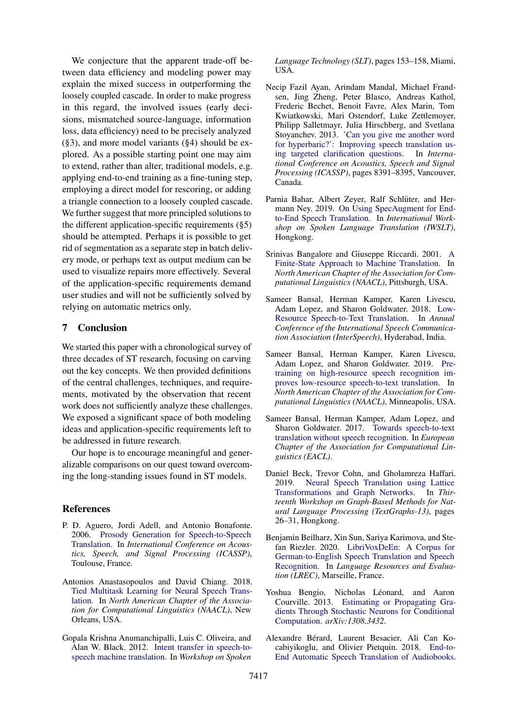We conjecture that the apparent trade-off between data efficiency and modeling power may explain the mixed success in outperforming the loosely coupled cascade. In order to make progress in this regard, the involved issues (early decisions, mismatched source-language, information loss, data efficiency) need to be precisely analyzed ([§3\)](#page-2-4), and more model variants ([§4\)](#page-4-0) should be explored. As a possible starting point one may aim to extend, rather than alter, traditional models, e.g. applying end-to-end training as a fine-tuning step, employing a direct model for rescoring, or adding a triangle connection to a loosely coupled cascade. We further suggest that more principled solutions to the different application-specific requirements ([§5\)](#page-6-0) should be attempted. Perhaps it is possible to get rid of segmentation as a separate step in batch delivery mode, or perhaps text as output medium can be used to visualize repairs more effectively. Several of the application-specific requirements demand user studies and will not be sufficiently solved by relying on automatic metrics only.

# 7 Conclusion

We started this paper with a chronological survey of three decades of ST research, focusing on carving out the key concepts. We then provided definitions of the central challenges, techniques, and requirements, motivated by the observation that recent work does not sufficiently analyze these challenges. We exposed a significant space of both modeling ideas and application-specific requirements left to be addressed in future research.

Our hope is to encourage meaningful and generalizable comparisons on our quest toward overcoming the long-standing issues found in ST models.

### References

- <span id="page-8-3"></span>P. D. Aguero, Jordi Adell, and Antonio Bonafonte. 2006. [Prosody Generation for Speech-to-Speech](https://ieeexplore.ieee.org/document/1660081) [Translation.](https://ieeexplore.ieee.org/document/1660081) In *International Conference on Acoustics, Speech, and Signal Processing (ICASSP)*, Toulouse, France.
- <span id="page-8-7"></span>Antonios Anastasopoulos and David Chiang. 2018. [Tied Multitask Learning for Neural Speech Trans](http://arxiv.org/abs/1802.06655)[lation.](http://arxiv.org/abs/1802.06655) In *North American Chapter of the Association for Computational Linguistics (NAACL)*, New Orleans, USA.
- <span id="page-8-4"></span>Gopala Krishna Anumanchipalli, Luis C. Oliveira, and Alan W. Black. 2012. [Intent transfer in speech-to](https://doi.org/10.1109/SLT.2012.6424214)[speech machine translation.](https://doi.org/10.1109/SLT.2012.6424214) In *Workshop on Spoken*

*Language Technology (SLT)*, pages 153–158, Miami, USA.

- <span id="page-8-12"></span>Necip Fazil Ayan, Arindam Mandal, Michael Frandsen, Jing Zheng, Peter Blasco, Andreas Kathol, Frederic Bechet, Benoit Favre, Alex Marin, Tom Kwiatkowski, Mari Ostendorf, Luke Zettlemoyer, Philipp Salletmayr, Julia Hirschberg, and Svetlana Stoyanchev. 2013. ['Can you give me another word](https://doi.org/10.1109/ICASSP.2013.6639302) [for hyperbaric?': Improving speech translation us](https://doi.org/10.1109/ICASSP.2013.6639302)[ing targeted clarification questions.](https://doi.org/10.1109/ICASSP.2013.6639302) In *International Conference on Acoustics, Speech and Signal Processing (ICASSP)*, pages 8391–8395, Vancouver, Canada.
- <span id="page-8-10"></span>Parnia Bahar, Albert Zeyer, Ralf Schlüter, and Hermann Ney. 2019. [On Using SpecAugment for End](https://www-i6.informatik.rwth-aachen.de/publications/download/1122/BaharParniaZeyerAlbertSchl{%}FCterRalfNeyHermann--OnUsingSpecAugmentforEnd-to-EndSpeechTranslation--2019.pdf)[to-End Speech Translation.](https://www-i6.informatik.rwth-aachen.de/publications/download/1122/BaharParniaZeyerAlbertSchl{%}FCterRalfNeyHermann--OnUsingSpecAugmentforEnd-to-EndSpeechTranslation--2019.pdf) In *International Workshop on Spoken Language Translation (IWSLT)*, Hongkong.
- <span id="page-8-1"></span>Srinivas Bangalore and Giuseppe Riccardi. 2001. [A](https://www.aclweb.org/anthology/N01-1018/) [Finite-State Approach to Machine Translation.](https://www.aclweb.org/anthology/N01-1018/) In *North American Chapter of the Association for Computational Linguistics (NAACL)*, Pittsburgh, USA.
- <span id="page-8-6"></span>Sameer Bansal, Herman Kamper, Karen Livescu, Adam Lopez, and Sharon Goldwater. 2018. [Low-](http://arxiv.org/abs/1803.09164)[Resource Speech-to-Text Translation.](http://arxiv.org/abs/1803.09164) In *Annual Conference of the International Speech Communication Association (InterSpeech)*, Hyderabad, India.
- <span id="page-8-9"></span>Sameer Bansal, Herman Kamper, Karen Livescu, Adam Lopez, and Sharon Goldwater. 2019. [Pre](http://arxiv.org/abs/1809.01431)[training on high-resource speech recognition im](http://arxiv.org/abs/1809.01431)[proves low-resource speech-to-text translation.](http://arxiv.org/abs/1809.01431) In *North American Chapter of the Association for Computational Linguistics (NAACL)*, Minneapolis, USA.
- <span id="page-8-0"></span>Sameer Bansal, Herman Kamper, Adam Lopez, and Sharon Goldwater. 2017. [Towards speech-to-text](http://arxiv.org/abs/1702.03856) [translation without speech recognition.](http://arxiv.org/abs/1702.03856) In *European Chapter of the Association for Computational Linguistics (EACL)*.
- <span id="page-8-2"></span>Daniel Beck, Trevor Cohn, and Gholamreza Haffari. 2019. [Neural Speech Translation using Lattice](https://www.aclweb.org/anthology/D19-5304/) [Transformations and Graph Networks.](https://www.aclweb.org/anthology/D19-5304/) In *Thirteenth Workshop on Graph-Based Methods for Natural Language Processing (TextGraphs-13)*, pages 26–31, Hongkong.
- <span id="page-8-5"></span>Benjamin Beilharz, Xin Sun, Sariya Karimova, and Stefan Riezler. 2020. [LibriVoxDeEn: A Corpus for](http://arxiv.org/abs/1910.07924) [German-to-English Speech Translation and Speech](http://arxiv.org/abs/1910.07924) [Recognition.](http://arxiv.org/abs/1910.07924) In *Language Resources and Evaluation (LREC)*, Marseille, France.
- <span id="page-8-11"></span>Yoshua Bengio, Nicholas Léonard, and Aaron Courville. 2013. [Estimating or Propagating Gra](http://arxiv.org/abs/1308.3432)[dients Through Stochastic Neurons for Conditional](http://arxiv.org/abs/1308.3432) [Computation.](http://arxiv.org/abs/1308.3432) *arXiv:1308.3432*.
- <span id="page-8-8"></span>Alexandre Berard, Laurent Besacier, Ali Can Ko- ´ cabiyikoglu, and Olivier Pietquin. 2018. [End-to-](http://arxiv.org/abs/1802.04200)[End Automatic Speech Translation of Audiobooks.](http://arxiv.org/abs/1802.04200)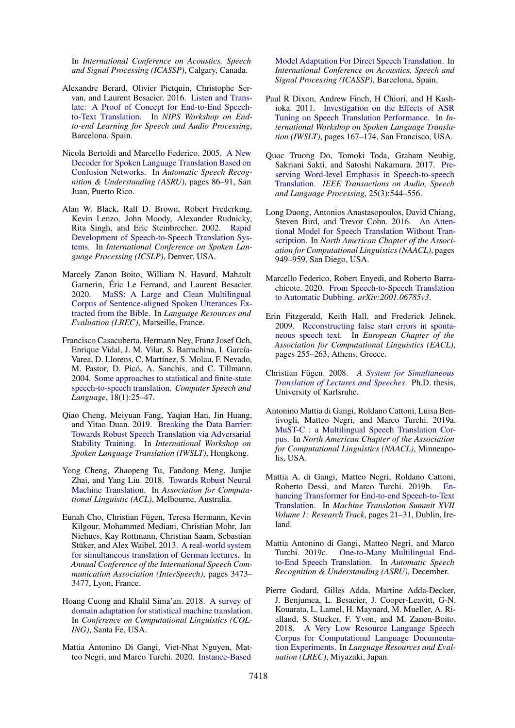In *International Conference on Acoustics, Speech and Signal Processing (ICASSP)*, Calgary, Canada.

- <span id="page-9-13"></span>Alexandre Berard, Olivier Pietquin, Christophe Servan, and Laurent Besacier. 2016. [Listen and Trans](http://arxiv.org/abs/1612.01744)[late: A Proof of Concept for End-to-End Speech](http://arxiv.org/abs/1612.01744)[to-Text Translation.](http://arxiv.org/abs/1612.01744) In *NIPS Workshop on Endto-end Learning for Speech and Audio Processing*, Barcelona, Spain.
- <span id="page-9-3"></span>Nicola Bertoldi and Marcello Federico. 2005. [A New](https://ieeexplore.ieee.org/document/1566492) [Decoder for Spoken Language Translation Based on](https://ieeexplore.ieee.org/document/1566492) [Confusion Networks.](https://ieeexplore.ieee.org/document/1566492) In *Automatic Speech Recognition & Understanding (ASRU)*, pages 86–91, San Juan, Puerto Rico.
- <span id="page-9-1"></span>Alan W. Black, Ralf D. Brown, Robert Frederking, Kevin Lenzo, John Moody, Alexander Rudnicky, Rita Singh, and Eric Steinbrecher. 2002. [Rapid](https://www.cs.cmu.edu/~awb/papers/ICSLP2002/tongues-speech.pdf) [Development of Speech-to-Speech Translation Sys](https://www.cs.cmu.edu/~awb/papers/ICSLP2002/tongues-speech.pdf)[tems.](https://www.cs.cmu.edu/~awb/papers/ICSLP2002/tongues-speech.pdf) In *International Conference on Spoken Language Processing (ICSLP)*, Denver, USA.
- <span id="page-9-11"></span>Marcely Zanon Boito, William N. Havard, Mahault Garnerin, Éric Le Ferrand, and Laurent Besacier. 2020. [MaSS: A Large and Clean Multilingual](http://arxiv.org/abs/1907.12895) [Corpus of Sentence-aligned Spoken Utterances Ex](http://arxiv.org/abs/1907.12895)[tracted from the Bible.](http://arxiv.org/abs/1907.12895) In *Language Resources and Evaluation (LREC)*, Marseille, France.
- <span id="page-9-2"></span>Francisco Casacuberta, Hermann Ney, Franz Josef Och, Enrique Vidal, J. M. Vilar, S. Barrachina, I. García-Varea, D. Llorens, C. Martínez, S. Molau, F. Nevado, M. Pastor, D. Picó, A. Sanchis, and C. Tillmann. 2004. [Some approaches to statistical and finite-state](https://www.researchgate.net/publication/223924075_Some_approaches_to_statistical_and_finite-state_speech-to-speech_translation) [speech-to-speech translation.](https://www.researchgate.net/publication/223924075_Some_approaches_to_statistical_and_finite-state_speech-to-speech_translation) *Computer Speech and Language*, 18(1):25–47.
- <span id="page-9-5"></span>Qiao Cheng, Meiyuan Fang, Yaqian Han, Jin Huang, and Yitao Duan. 2019. [Breaking the Data Barrier:](http://arxiv.org/abs/1909.11430) [Towards Robust Speech Translation via Adversarial](http://arxiv.org/abs/1909.11430) [Stability Training.](http://arxiv.org/abs/1909.11430) In *International Workshop on Spoken Language Translation (IWSLT)*, Hongkong.
- <span id="page-9-4"></span>Yong Cheng, Zhaopeng Tu, Fandong Meng, Junjie Zhai, and Yang Liu. 2018. [Towards Robust Neural](https://www.aclweb.org/anthology/P18-1163.pdf) [Machine Translation.](https://www.aclweb.org/anthology/P18-1163.pdf) In *Association for Computational Linguistic (ACL)*, Melbourne, Australia.
- <span id="page-9-19"></span>Eunah Cho, Christian Fügen, Teresa Hermann, Kevin Kilgour, Mohammed Mediani, Christian Mohr, Jan Niehues, Kay Rottmann, Christian Saam, Sebastian Stüker, and Alex Waibel. 2013. [A real-world system](http://isl.anthropomatik.kit.edu/cmu-kit/downloads/A_Real-World_System_for_Simultaneous_Translation_of_German_Lectures.pdf) [for simultaneous translation of German lectures.](http://isl.anthropomatik.kit.edu/cmu-kit/downloads/A_Real-World_System_for_Simultaneous_Translation_of_German_Lectures.pdf) In *Annual Conference of the International Speech Communication Association (InterSpeech)*, pages 3473– 3477, Lyon, France.
- <span id="page-9-17"></span>Hoang Cuong and Khalil Sima'an. 2018. [A survey of](https://doi.org/10.1007/s10590-018-9216-8) [domain adaptation for statistical machine translation.](https://doi.org/10.1007/s10590-018-9216-8) In *Conference on Computational Linguistics (COL-ING)*, Santa Fe, USA.
- <span id="page-9-15"></span>Mattia Antonino Di Gangi, Viet-Nhat Nguyen, Matteo Negri, and Marco Turchi. 2020. [Instance-Based](http://arxiv.org/abs/1910.10663)

[Model Adaptation For Direct Speech Translation.](http://arxiv.org/abs/1910.10663) In *International Conference on Acoustics, Speech and Signal Processing (ICASSP)*, Barcelona, Spain.

- <span id="page-9-6"></span>Paul R Dixon, Andrew Finch, H Chiori, and H Kashioka. 2011. [Investigation on the Effects of ASR](https://www.researchgate.net/publication/268177987_Investigation_on_the_Effects_of_ASR_Tuning_on_Speech_Translation_Performance) [Tuning on Speech Translation Performance.](https://www.researchgate.net/publication/268177987_Investigation_on_the_Effects_of_ASR_Tuning_on_Speech_Translation_Performance) In *International Workshop on Spoken Language Translation (IWSLT)*, pages 167–174, San Francisco, USA.
- <span id="page-9-8"></span>Quoc Truong Do, Tomoki Toda, Graham Neubig, Sakriani Sakti, and Satoshi Nakamura. 2017. [Pre](https://ahcweb01.naist.jp/papers/journal/2016/201612_TASLP_Do_1/201612_TASLP_Do_1.paper.pdf)[serving Word-level Emphasis in Speech-to-speech](https://ahcweb01.naist.jp/papers/journal/2016/201612_TASLP_Do_1/201612_TASLP_Do_1.paper.pdf) [Translation.](https://ahcweb01.naist.jp/papers/journal/2016/201612_TASLP_Do_1/201612_TASLP_Do_1.paper.pdf) *IEEE Transactions on Audio, Speech and Language Processing*, 25(3):544–556.
- <span id="page-9-12"></span>Long Duong, Antonios Anastasopoulos, David Chiang, Steven Bird, and Trevor Cohn. 2016. [An Atten](http://www.aclweb.org/anthology/N16-1109)[tional Model for Speech Translation Without Tran](http://www.aclweb.org/anthology/N16-1109)[scription.](http://www.aclweb.org/anthology/N16-1109) In *North American Chapter of the Association for Computational Linguistics (NAACL)*, pages 949–959, San Diego, USA.
- <span id="page-9-18"></span>Marcello Federico, Robert Enyedi, and Roberto Barrachicote. 2020. [From Speech-to-Speech Translation](http://arxiv.org/abs/arXiv:2001.06785v3) [to Automatic Dubbing.](http://arxiv.org/abs/arXiv:2001.06785v3) *arXiv:2001.06785v3*.
- <span id="page-9-7"></span>Erin Fitzgerald, Keith Hall, and Frederick Jelinek. 2009. [Reconstructing false start errors in sponta](https://storage.googleapis.com/pub-tools-public-publication-data/pdf/35235.pdf)[neous speech text.](https://storage.googleapis.com/pub-tools-public-publication-data/pdf/35235.pdf) In *European Chapter of the Association for Computational Linguistics (EACL)*, pages 255–263, Athens, Greece.
- <span id="page-9-0"></span>Christian Fugen. 2008. ¨ *[A System for Simultaneous](https://pdfs.semanticscholar.org/f541/79853c393cde55a662d777196303db3e0241.pdf) [Translation of Lectures and Speeches](https://pdfs.semanticscholar.org/f541/79853c393cde55a662d777196303db3e0241.pdf)*. Ph.D. thesis, University of Karlsruhe.
- <span id="page-9-10"></span>Antonino Mattia di Gangi, Roldano Cattoni, Luisa Bentivogli, Matteo Negri, and Marco Turchi. 2019a. [MuST-C : a Multilingual Speech Translation Cor](https://www.aclweb.org/anthology/N19-1202/)[pus.](https://www.aclweb.org/anthology/N19-1202/) In *North American Chapter of the Association for Computational Linguistics (NAACL)*, Minneapolis, USA.
- <span id="page-9-14"></span>Mattia A. di Gangi, Matteo Negri, Roldano Cattoni, Roberto Dessi, and Marco Turchi. 2019b. [En](https://www.aclweb.org/anthology/W19-6603/)[hancing Transformer for End-to-end Speech-to-Text](https://www.aclweb.org/anthology/W19-6603/) [Translation.](https://www.aclweb.org/anthology/W19-6603/) In *Machine Translation Summit XVII Volume 1: Research Track*, pages 21–31, Dublin, Ireland.
- <span id="page-9-16"></span>Mattia Antonino di Gangi, Matteo Negri, and Marco Turchi. 2019c. [One-to-Many Multilingual End](http://arxiv.org/abs/1910.00254)[to-End Speech Translation.](http://arxiv.org/abs/1910.00254) In *Automatic Speech Recognition & Understanding (ASRU)*, December.
- <span id="page-9-9"></span>Pierre Godard, Gilles Adda, Martine Adda-Decker, J. Benjumea, L. Besacier, J. Cooper-Leavitt, G-N. Kouarata, L. Lamel, H. Maynard, M. Mueller, A. Rialland, S. Stueker, F. Yvon, and M. Zanon-Boito. 2018. [A Very Low Resource Language Speech](http://arxiv.org/abs/1710.03501) [Corpus for Computational Language Documenta](http://arxiv.org/abs/1710.03501)[tion Experiments.](http://arxiv.org/abs/1710.03501) In *Language Resources and Evaluation (LREC)*, Miyazaki, Japan.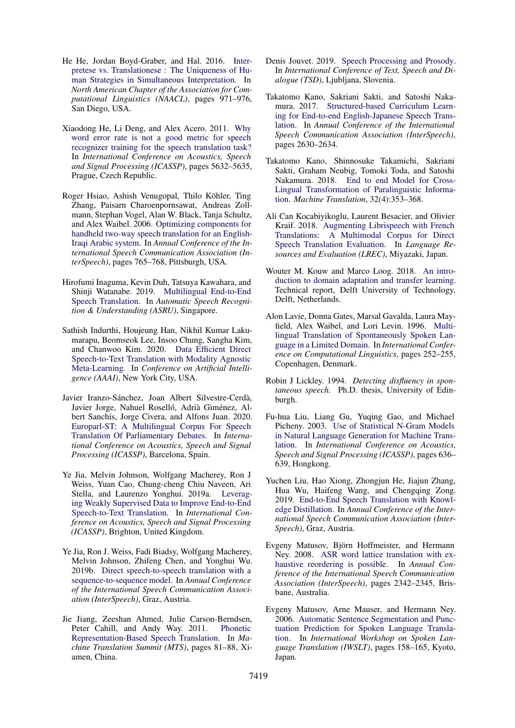- <span id="page-10-19"></span>He He, Jordan Boyd-Graber, and Hal. 2016. [Inter](https://www.aclweb.org/anthology/N16-1111/)[pretese vs. Translationese : The Uniqueness of Hu](https://www.aclweb.org/anthology/N16-1111/)[man Strategies in Simultaneous Interpretation.](https://www.aclweb.org/anthology/N16-1111/) In *North American Chapter of the Association for Computational Linguistics (NAACL)*, pages 971–976, San Diego, USA.
- <span id="page-10-3"></span>Xiaodong He, Li Deng, and Alex Acero. 2011. [Why](https://doi.org/10.1109/ICASSP.2011.5947637) [word error rate is not a good metric for speech](https://doi.org/10.1109/ICASSP.2011.5947637) [recognizer training for the speech translation task?](https://doi.org/10.1109/ICASSP.2011.5947637) In *International Conference on Acoustics, Speech and Signal Processing (ICASSP)*, pages 5632–5635, Prague, Czech Republic.
- <span id="page-10-17"></span>Roger Hsiao, Ashish Venugopal, Thilo Köhler, Ting Zhang, Paisarn Charoenpornsawat, Andreas Zollmann, Stephan Vogel, Alan W. Black, Tanja Schultz, and Alex Waibel. 2006. [Optimizing components for](http://www.cs.cmu.edu/~tanja/Papers/HsiaoSchultz_Interspeech2006.pdf) [handheld two-way speech translation for an English-](http://www.cs.cmu.edu/~tanja/Papers/HsiaoSchultz_Interspeech2006.pdf)[Iraqi Arabic system.](http://www.cs.cmu.edu/~tanja/Papers/HsiaoSchultz_Interspeech2006.pdf) In *Annual Conference of the International Speech Communication Association (InterSpeech)*, pages 765–768, Pittsburgh, USA.
- <span id="page-10-13"></span>Hirofumi Inaguma, Kevin Duh, Tatsuya Kawahara, and Shinji Watanabe. 2019. [Multilingual End-to-End](http://arxiv.org/abs/1910.00254) [Speech Translation.](http://arxiv.org/abs/1910.00254) In *Automatic Speech Recognition & Understanding (ASRU)*, Singapore.
- <span id="page-10-11"></span>Sathish Indurthi, Houjeung Han, Nikhil Kumar Lakumarapu, Beomseok Lee, Insoo Chung, Sangha Kim, and Chanwoo Kim. 2020. [Data Efficient Direct](http://arxiv.org/abs/arXiv:1911.04283v1) [Speech-to-Text Translation with Modality Agnostic](http://arxiv.org/abs/arXiv:1911.04283v1) [Meta-Learning.](http://arxiv.org/abs/arXiv:1911.04283v1) In *Conference on Artificial Intelligence (AAAI)*, New York City, USA.
- <span id="page-10-7"></span>Javier Iranzo-Sánchez, Joan Albert Silvestre-Cerdà, Javier Jorge, Nahuel Roselló, Adrià Giménez, Albert Sanchis, Jorge Civera, and Alfons Juan. 2020. [Europarl-ST: A Multilingual Corpus For Speech](http://arxiv.org/abs/1911.03167) [Translation Of Parliamentary Debates.](http://arxiv.org/abs/1911.03167) In *International Conference on Acoustics, Speech and Signal Processing (ICASSP)*, Barcelona, Spain.
- <span id="page-10-9"></span>Ye Jia, Melvin Johnson, Wolfgang Macherey, Ron J Weiss, Yuan Cao, Chung-cheng Chiu Naveen, Ari Stella, and Laurenzo Yonghui. 2019a. [Leverag](http://arxiv.org/abs/arXiv:1811.02050v1)[ing Weakly Supervised Data to Improve End-to-End](http://arxiv.org/abs/arXiv:1811.02050v1) [Speech-to-Text Translation.](http://arxiv.org/abs/arXiv:1811.02050v1) In *International Conference on Acoustics, Speech and Signal Processing (ICASSP)*, Brighton, United Kingdom.
- <span id="page-10-12"></span>Ye Jia, Ron J. Weiss, Fadi Biadsy, Wolfgang Macherey, Melvin Johnson, Zhifeng Chen, and Yonghui Wu. 2019b. [Direct speech-to-speech translation with a](http://arxiv.org/abs/1904.06037) [sequence-to-sequence model.](http://arxiv.org/abs/1904.06037) In *Annual Conference of the International Speech Communication Association (InterSpeech)*, Graz, Austria.
- <span id="page-10-16"></span>Jie Jiang, Zeeshan Ahmed, Julie Carson-Berndsen, Peter Cahill, and Andy Way. 2011. [Phonetic](http://www.mt-archive.info/MTS-2011-Jiang-1.pdf) [Representation-Based Speech Translation.](http://www.mt-archive.info/MTS-2011-Jiang-1.pdf) In *Machine Translation Summit (MTS)*, pages 81–88, Xiamen, China.
- <span id="page-10-14"></span>Denis Jouvet. 2019. [Speech Processing and Prosody.](https://hal.inria.fr/hal-02177210/document) In *International Conference of Text, Speech and Dialogue (TSD)*, Ljubljana, Slovenia.
- <span id="page-10-8"></span>Takatomo Kano, Sakriani Sakti, and Satoshi Nakamura. 2017. [Structured-based Curriculum Learn](https://arxiv.org/abs/1802.06003)[ing for End-to-end English-Japanese Speech Trans](https://arxiv.org/abs/1802.06003)[lation.](https://arxiv.org/abs/1802.06003) In *Annual Conference of the International Speech Communication Association (InterSpeech)*, pages 2630–2634.
- <span id="page-10-5"></span>Takatomo Kano, Shinnosuke Takamichi, Sakriani Sakti, Graham Neubig, Tomoki Toda, and Satoshi Nakamura. 2018. [End to end Model for Cross-](http://www.phontron.com/paper/kano18mtj.pdf)[Lingual Transformation of Paralinguistic Informa](http://www.phontron.com/paper/kano18mtj.pdf)[tion.](http://www.phontron.com/paper/kano18mtj.pdf) *Machine Translation*, 32(4):353–368.
- <span id="page-10-6"></span>Ali Can Kocabiyikoglu, Laurent Besacier, and Olivier Kraif. 2018. [Augmenting Librispeech with French](https://arxiv.org/abs/1802.03142) [Translations: A Multimodal Corpus for Direct](https://arxiv.org/abs/1802.03142) [Speech Translation Evaluation.](https://arxiv.org/abs/1802.03142) In *Language Resources and Evaluation (LREC)*, Miyazaki, Japan.
- <span id="page-10-15"></span>Wouter M. Kouw and Marco Loog. 2018. [An intro](http://arxiv.org/abs/1812.11806)[duction to domain adaptation and transfer learning.](http://arxiv.org/abs/1812.11806) Technical report, Delft University of Technology, Delft, Netherlands.
- <span id="page-10-0"></span>Alon Lavie, Donna Gates, Marsal Gavalda, Laura Mayfield, Alex Waibel, and Lori Levin. 1996. [Multi](https://www.aclweb.org/anthology/C96-1075/)[lingual Translation of Spontaneously Spoken Lan](https://www.aclweb.org/anthology/C96-1075/)[guage in a Limited Domain.](https://www.aclweb.org/anthology/C96-1075/) In *International Conference on Computational Linguistics*, pages 252–255, Copenhagen, Denmark.
- <span id="page-10-18"></span>Robin J Lickley. 1994. *Detecting disfluency in spontaneous speech*. Ph.D. thesis, University of Edinburgh.
- <span id="page-10-1"></span>Fu-hua Liu, Liang Gu, Yuqing Gao, and Michael Picheny. 2003. [Use of Statistical N-Gram Models](https://ieeexplore.ieee.org/document/1198861) [in Natural Language Generation for Machine Trans](https://ieeexplore.ieee.org/document/1198861)[lation.](https://ieeexplore.ieee.org/document/1198861) In *International Conference on Acoustics, Speech and Signal Processing (ICASSP)*, pages 636– 639, Hongkong.
- <span id="page-10-10"></span>Yuchen Liu, Hao Xiong, Zhongjun He, Jiajun Zhang, Hua Wu, Haifeng Wang, and Chengqing Zong. 2019. [End-to-End Speech Translation with Knowl](http://arxiv.org/abs/1904.08075)[edge Distillation.](http://arxiv.org/abs/1904.08075) In *Annual Conference of the International Speech Communication Association (Inter-Speech)*, Graz, Austria.
- <span id="page-10-2"></span>Evgeny Matusov, Björn Hoffmeister, and Hermann Ney. 2008. [ASR word lattice translation with ex](https://pdfs.semanticscholar.org/18b2/aa78d8e9e5672e7f9b41edf6b110ea429818.pdf)[haustive reordering is possible.](https://pdfs.semanticscholar.org/18b2/aa78d8e9e5672e7f9b41edf6b110ea429818.pdf) In *Annual Conference of the International Speech Communication Association (InterSpeech)*, pages 2342–2345, Brisbane, Australia.
- <span id="page-10-4"></span>Evgeny Matusov, Arne Mauser, and Hermann Ney. 2006. [Automatic Sentence Segmentation and Punc](http://www.mt-archive.info/IWSLT-2006-Matusov.pdf)[tuation Prediction for Spoken Language Transla](http://www.mt-archive.info/IWSLT-2006-Matusov.pdf)[tion.](http://www.mt-archive.info/IWSLT-2006-Matusov.pdf) In *International Workshop on Spoken Language Translation (IWSLT)*, pages 158–165, Kyoto, Japan.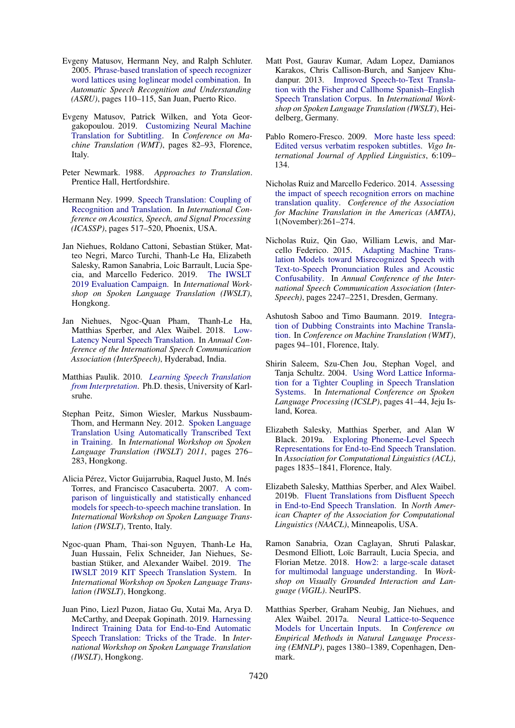- <span id="page-11-7"></span>Evgeny Matusov, Hermann Ney, and Ralph Schluter. 2005. [Phrase-based translation of speech recognizer](https://ieeexplore.ieee.org/document/1566491) [word lattices using loglinear model combination.](https://ieeexplore.ieee.org/document/1566491) In *Automatic Speech Recognition and Understanding (ASRU)*, pages 110–115, San Juan, Puerto Rico.
- <span id="page-11-1"></span>Evgeny Matusov, Patrick Wilken, and Yota Georgakopoulou. 2019. [Customizing Neural Machine](https://doi.org/10.18653/v1/w19-5209) [Translation for Subtitling.](https://doi.org/10.18653/v1/w19-5209) In *Conference on Machine Translation (WMT)*, pages 82–93, Florence, Italy.
- <span id="page-11-20"></span>Peter Newmark. 1988. *Approaches to Translation*. Prentice Hall, Hertfordshire.
- <span id="page-11-4"></span>Hermann Ney. 1999. [Speech Translation: Coupling of](https://ieeexplore.ieee.org/document/758176) [Recognition and Translation.](https://ieeexplore.ieee.org/document/758176) In *International Conference on Acoustics, Speech, and Signal Processing (ICASSP)*, pages 517–520, Phoenix, USA.
- <span id="page-11-2"></span>Jan Niehues, Roldano Cattoni, Sebastian Stüker, Matteo Negri, Marco Turchi, Thanh-Le Ha, Elizabeth Salesky, Ramon Sanabria, Loic Barrault, Lucia Specia, and Marcello Federico. 2019. [The IWSLT](https://zenodo.org/record/3532822) [2019 Evaluation Campaign.](https://zenodo.org/record/3532822) In *International Workshop on Spoken Language Translation (IWSLT)*, Hongkong.
- <span id="page-11-18"></span>Jan Niehues, Ngoc-Quan Pham, Thanh-Le Ha, Matthias Sperber, and Alex Waibel. 2018. [Low-](http://arxiv.org/abs/1808.00491)[Latency Neural Speech Translation.](http://arxiv.org/abs/1808.00491) In *Annual Conference of the International Speech Communication Association (InterSpeech)*, Hyderabad, India.
- <span id="page-11-11"></span>Matthias Paulik. 2010. *[Learning Speech Translation](http://isl.anthropomatik.kit.edu/cmu-kit/downloads/PhD_2010_01_Learning_Speech_Translation_from_Interpretation.pdf) [from Interpretation](http://isl.anthropomatik.kit.edu/cmu-kit/downloads/PhD_2010_01_Learning_Speech_Translation_from_Interpretation.pdf)*. Ph.D. thesis, University of Karlsruhe.
- <span id="page-11-9"></span>Stephan Peitz, Simon Wiesler, Markus Nussbaum-Thom, and Hermann Ney. 2012. [Spoken Language](http://hltc.cs.ust.hk/iwslt/proceedings/paper_12.pdf) [Translation Using Automatically Transcribed Text](http://hltc.cs.ust.hk/iwslt/proceedings/paper_12.pdf) [in Training.](http://hltc.cs.ust.hk/iwslt/proceedings/paper_12.pdf) In *International Workshop on Spoken Language Translation (IWSLT) 2011*, pages 276– 283, Hongkong.
- <span id="page-11-5"></span>Alicia Pérez, Victor Guijarrubia, Raquel Justo, M. Inés Torres, and Francisco Casacuberta. 2007. [A com](https://pdfs.semanticscholar.org/52c2/8b6a10b916c272908defaa2a5a0cb165ba53.pdf)[parison of linguistically and statistically enhanced](https://pdfs.semanticscholar.org/52c2/8b6a10b916c272908defaa2a5a0cb165ba53.pdf) [models for speech-to-speech machine translation.](https://pdfs.semanticscholar.org/52c2/8b6a10b916c272908defaa2a5a0cb165ba53.pdf) In *International Workshop on Spoken Language Translation (IWSLT)*, Trento, Italy.
- <span id="page-11-3"></span>Ngoc-quan Pham, Thai-son Nguyen, Thanh-Le Ha, Juan Hussain, Felix Schneider, Jan Niehues, Se-bastian Stüker, and Alexander Waibel. 2019. [The](https://zenodo.org/record/3525564) [IWSLT 2019 KIT Speech Translation System.](https://zenodo.org/record/3525564) In *International Workshop on Spoken Language Translation (IWSLT)*, Hongkong.
- <span id="page-11-14"></span>Juan Pino, Liezl Puzon, Jiatao Gu, Xutai Ma, Arya D. McCarthy, and Deepak Gopinath. 2019. [Harnessing](http://arxiv.org/abs/1909.06515) [Indirect Training Data for End-to-End Automatic](http://arxiv.org/abs/1909.06515) [Speech Translation: Tricks of the Trade.](http://arxiv.org/abs/1909.06515) In *International Workshop on Spoken Language Translation (IWSLT)*, Hongkong.
- <span id="page-11-12"></span>Matt Post, Gaurav Kumar, Adam Lopez, Damianos Karakos, Chris Callison-Burch, and Sanjeev Khudanpur. 2013. [Improved Speech-to-Text Transla](http://cs.jhu.edu/~gkumar/papers/post2013improved.pdf)[tion with the Fisher and Callhome Spanish–English](http://cs.jhu.edu/~gkumar/papers/post2013improved.pdf) [Speech Translation Corpus.](http://cs.jhu.edu/~gkumar/papers/post2013improved.pdf) In *International Workshop on Spoken Language Translation (IWSLT)*, Heidelberg, Germany.
- <span id="page-11-17"></span>Pablo Romero-Fresco. 2009. [More haste less speed:](http://vialjournal.webs.uvigo.es/pdf/Vial-2009-Article6.pdf) [Edited versus verbatim respoken subtitles.](http://vialjournal.webs.uvigo.es/pdf/Vial-2009-Article6.pdf) *Vigo International Journal of Applied Linguistics*, 6:109– 134.
- <span id="page-11-16"></span>Nicholas Ruiz and Marcello Federico. 2014. [Assessing](http://www.mt-archive.info/10/AMTA-2014-Ruiz.pdf) [the impact of speech recognition errors on machine](http://www.mt-archive.info/10/AMTA-2014-Ruiz.pdf) [translation quality.](http://www.mt-archive.info/10/AMTA-2014-Ruiz.pdf) *Conference of the Association for Machine Translation in the Americas (AMTA)*, 1(November):261–274.
- <span id="page-11-10"></span>Nicholas Ruiz, Qin Gao, William Lewis, and Marcello Federico. 2015. [Adapting Machine Trans](https://cris.fbk.eu/retrieve/handle/11582/309037/16748/interspeech15-ruiz.pdf)[lation Models toward Misrecognized Speech with](https://cris.fbk.eu/retrieve/handle/11582/309037/16748/interspeech15-ruiz.pdf) [Text-to-Speech Pronunciation Rules and Acoustic](https://cris.fbk.eu/retrieve/handle/11582/309037/16748/interspeech15-ruiz.pdf) [Confusability.](https://cris.fbk.eu/retrieve/handle/11582/309037/16748/interspeech15-ruiz.pdf) In *Annual Conference of the International Speech Communication Association (Inter-Speech)*, pages 2247–2251, Dresden, Germany.
- <span id="page-11-0"></span>Ashutosh Saboo and Timo Baumann. 2019. [Integra](https://doi.org/10.18653/v1/w19-5210)[tion of Dubbing Constraints into Machine Transla](https://doi.org/10.18653/v1/w19-5210)[tion.](https://doi.org/10.18653/v1/w19-5210) In *Conference on Machine Translation (WMT)*, pages 94–101, Florence, Italy.
- <span id="page-11-6"></span>Shirin Saleem, Szu-Chen Jou, Stephan Vogel, and Tanja Schultz. 2004. [Using Word Lattice Informa](https://pdfs.semanticscholar.org/f205/07214ccb0512400fd68be78acb47106fb3b2.pdf)[tion for a Tighter Coupling in Speech Translation](https://pdfs.semanticscholar.org/f205/07214ccb0512400fd68be78acb47106fb3b2.pdf) [Systems.](https://pdfs.semanticscholar.org/f205/07214ccb0512400fd68be78acb47106fb3b2.pdf) In *International Conference on Spoken Language Processing (ICSLP)*, pages 41–44, Jeju Island, Korea.
- <span id="page-11-15"></span>Elizabeth Salesky, Matthias Sperber, and Alan W Black. 2019a. [Exploring Phoneme-Level Speech](https://www.aclweb.org/anthology/P19-1179/) [Representations for End-to-End Speech Translation.](https://www.aclweb.org/anthology/P19-1179/) In *Association for Computational Linguistics (ACL)*, pages 1835–1841, Florence, Italy.
- <span id="page-11-19"></span>Elizabeth Salesky, Matthias Sperber, and Alex Waibel. 2019b. [Fluent Translations from Disfluent Speech](https://doi.org/10.1109/SLT.2018.8639661) [in End-to-End Speech Translation.](https://doi.org/10.1109/SLT.2018.8639661) In *North American Chapter of the Association for Computational Linguistics (NAACL)*, Minneapolis, USA.
- <span id="page-11-13"></span>Ramon Sanabria, Ozan Caglayan, Shruti Palaskar, Desmond Elliott, Loïc Barrault, Lucia Specia, and Florian Metze. 2018. [How2: a large-scale dataset](http://arxiv.org/abs/1811.00347) [for multimodal language understanding.](http://arxiv.org/abs/1811.00347) In *Workshop on Visually Grounded Interaction and Language (ViGIL)*. NeurIPS.
- <span id="page-11-8"></span>Matthias Sperber, Graham Neubig, Jan Niehues, and Alex Waibel. 2017a. [Neural Lattice-to-Sequence](http://aclweb.org/anthology/D17-1145) [Models for Uncertain Inputs.](http://aclweb.org/anthology/D17-1145) In *Conference on Empirical Methods in Natural Language Processing (EMNLP)*, pages 1380–1389, Copenhagen, Denmark.